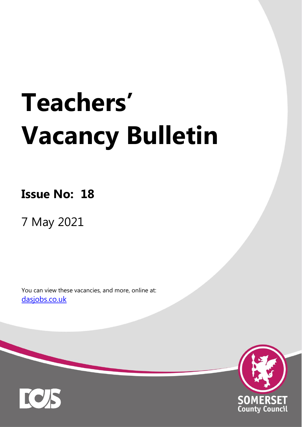# **Teachers' Vacancy Bulletin**

**Issue No: 18**

7 May 2021

You can view these vacancies, and more, online at: [dasjobs.co.uk](http://dasjobs.co.uk/)



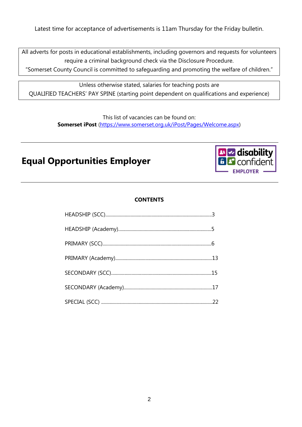Latest time for acceptance of advertisements is 11am Thursday for the Friday bulletin.

All adverts for posts in educational establishments, including governors and requests for volunteers require a criminal background check via the Disclosure Procedure.

"Somerset County Council is committed to safeguarding and promoting the welfare of children."

Unless otherwise stated, salaries for teaching posts are QUALIFIED TEACHERS' PAY SPINE (starting point dependent on qualifications and experience)

> This list of vacancies can be found on: **Somerset iPost** [\(https://www.somerset.org.uk/iPost/Pages/Welcome.aspx\)](https://www.somerset.org.uk/iPost/Pages/Welcome.aspx)

## **Equal Opportunities Employer**



#### **CONTENTS**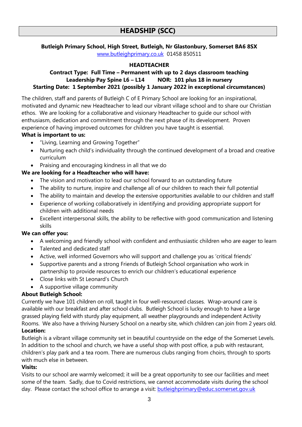**Butleigh Primary School, High Street, Butleigh, Nr Glastonbury, Somerset BA6 8SX** [www.butleighprimary.co.uk](http://www.butleighprimary.co.uk/) 01458 850511

#### **HEADTEACHER**

#### **Contract Type: Full Time – Permanent with up to 2 days classroom teaching Leadership Pay Spine L6 – L14 NOR: 101 plus 18 in nursery Starting Date: 1 September 2021 (possibly 1 January 2022 in exceptional circumstances)**

The children, staff and parents of Butleigh C of E Primary School are looking for an inspirational, motivated and dynamic new Headteacher to lead our vibrant village school and to share our Christian ethos. We are looking for a collaborative and visionary Headteacher to guide our school with enthusiasm, dedication and commitment through the next phase of its development. Proven experience of having improved outcomes for children you have taught is essential.

#### **What is important to us:**

- "Living, Learning and Growing Together"
- Nurturing each child's individuality through the continued development of a broad and creative curriculum
- Praising and encouraging kindness in all that we do

#### **We are looking for a Headteacher who will have:**

- The vision and motivation to lead our school forward to an outstanding future
- The ability to nurture, inspire and challenge all of our children to reach their full potential
- The ability to maintain and develop the extensive opportunities available to our children and staff
- Experience of working collaboratively in identifying and providing appropriate support for children with additional needs
- Excellent interpersonal skills, the ability to be reflective with good communication and listening skills

#### **We can offer you:**

- A welcoming and friendly school with confident and enthusiastic children who are eager to learn
- Talented and dedicated staff
- Active, well informed Governors who will support and challenge you as 'critical friends'
- Supportive parents and a strong Friends of Butleigh School organisation who work in partnership to provide resources to enrich our children's educational experience
- Close links with St Leonard's Church
- A supportive village community

#### **About Butleigh School:**

Currently we have 101 children on roll, taught in four well-resourced classes. Wrap-around care is available with our breakfast and after school clubs. Butleigh School is lucky enough to have a large grassed playing field with sturdy play equipment, all weather playgrounds and independent Activity Rooms. We also have a thriving Nursery School on a nearby site, which children can join from 2 years old. **Location:**

Butleigh is a vibrant village community set in beautiful countryside on the edge of the Somerset Levels. In addition to the school and church, we have a useful shop with post office, a pub with restaurant, children's play park and a tea room. There are numerous clubs ranging from choirs, through to sports with much else in between.

#### **Visits:**

Visits to our school are warmly welcomed; it will be a great opportunity to see our facilities and meet some of the team. Sadly, due to Covid restrictions, we cannot accommodate visits during the school day. Please contact the school office to arrange a visit: **butleighprimary@educ.somerset.gov.uk**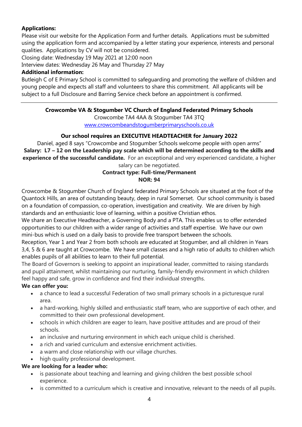#### **Applications:**

Please visit our website for the Application Form and further details. Applications must be submitted using the application form and accompanied by a letter stating your experience, interests and personal qualities. Applications by CV will not be considered.

Closing date: Wednesday 19 May 2021 at 12:00 noon

Interview dates: Wednesday 26 May and Thursday 27 May

#### **Additional information:**

Butleigh C of E Primary School is committed to safeguarding and promoting the welfare of children and young people and expects all staff and volunteers to share this commitment. All applicants will be subject to a full Disclosure and Barring Service check before an appointment is confirmed.

#### **Crowcombe VA & Stogumber VC Church of England Federated Primary Schools**

Crowcombe TA4 4AA & Stogumber TA4 3TQ [www.crowcombeandstogumberprimaryschools.co.uk](http://www.crowcombeandstogumberprimaryschools.co.uk/)

#### **Our school requires an EXECUTIVE HEADTEACHER for January 2022**

Daniel, aged 8 says "Crowcombe and Stogumber Schools welcome people with open arms" **Salary: L7 – 12 on the Leadership pay scale which will be determined according to the skills and experience of the successful candidate.** For an exceptional and very experienced candidate, a higher salary can be negotiated.

#### **Contract type: Full-time/Permanent NOR: 94**

Crowcombe & Stogumber Church of England federated Primary Schools are situated at the foot of the Quantock Hills, an area of outstanding beauty, deep in rural Somerset. Our school community is based on a foundation of compassion, co-operation, investigation and creativity. We are driven by high standards and an enthusiastic love of learning, within a positive Christian ethos.

We share an Executive Headteacher, a Governing Body and a PTA. This enables us to offer extended opportunities to our children with a wider range of activities and staff expertise. We have our own mini-bus which is used on a daily basis to provide free transport between the schools.

Reception, Year 1 and Year 2 from both schools are educated at Stogumber, and all children in Years 3,4, 5 & 6 are taught at Crowcombe. We have small classes and a high ratio of adults to children which enables pupils of all abilities to learn to their full potential.

The Board of Governors is seeking to appoint an inspirational leader, committed to raising standards and pupil attainment, whilst maintaining our nurturing, family-friendly environment in which children feel happy and safe, grow in confidence and find their individual strengths.

#### **We can offer you:**

- a chance to lead a successful Federation of two small primary schools in a picturesque rural area.
- a hard-working, highly skilled and enthusiastic staff team, who are supportive of each other, and committed to their own professional development.
- schools in which children are eager to learn, have positive attitudes and are proud of their schools.
- an inclusive and nurturing environment in which each unique child is cherished.
- a rich and varied curriculum and extensive enrichment activities.
- a warm and close relationship with our village churches.
- high quality professional development.

#### **We are looking for a leader who:**

- is passionate about teaching and learning and giving children the best possible school experience.
- is committed to a curriculum which is creative and innovative, relevant to the needs of all pupils.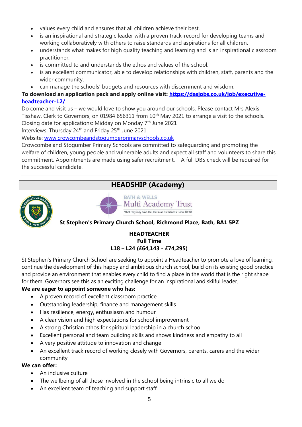- values every child and ensures that all children achieve their best.
- is an inspirational and strategic leader with a proven track-record for developing teams and working collaboratively with others to raise standards and aspirations for all children.
- understands what makes for high quality teaching and learning and is an inspirational classroom practitioner.
- is committed to and understands the ethos and values of the school.
- is an excellent communicator, able to develop relationships with children, staff, parents and the wider community.
- can manage the schools' budgets and resources with discernment and wisdom.

#### **To download an application pack and apply online visit: [https://dasjobs.co.uk/job/executive](https://dasjobs.co.uk/job/executive-headteacher-12/)[headteacher-12/](https://dasjobs.co.uk/job/executive-headteacher-12/)**

Do come and visit us – we would love to show you around our schools. Please contact Mrs Alexis Tisshaw, Clerk to Governors, on 01984 656311 from 10<sup>th</sup> May 2021 to arrange a visit to the schools. Closing date for applications: Midday on Monday 7<sup>th</sup> June 2021

Interviews: Thursday 24<sup>th</sup> and Friday 25<sup>th</sup> June 2021

Website: [www.crowcombeandstogumberprimaryschools.co.uk](http://www.crowcombeandstogumberprimaryschools.co.uk/)

Crowcombe and Stogumber Primary Schools are committed to safeguarding and promoting the welfare of children, young people and vulnerable adults and expect all staff and volunteers to share this commitment. Appointments are made using safer recruitment. A full DBS check will be required for the successful candidate.

## **HEADSHIP (Academy)**



**BATH & WELLS Multi Academy Trust** That they may have life, life in all its fullness' John 10:10

#### **St Stephen's Primary Church School, Richmond Place, Bath, BA1 5PZ**

#### **HEADTEACHER Full Time L18 – L24 (£64,143 - £74,295)**

St Stephen's Primary Church School are seeking to appoint a Headteacher to promote a love of learning, continue the development of this happy and ambitious church school, build on its existing good practice and provide an environment that enables every child to find a place in the world that is the right shape for them. Governors see this as an exciting challenge for an inspirational and skilful leader.

#### **We are eager to appoint someone who has:**

- A proven record of excellent classroom practice
- Outstanding leadership, finance and management skills
- Has resilience, energy, enthusiasm and humour
- A clear vision and high expectations for school improvement
- A strong Christian ethos for spiritual leadership in a church school
- Excellent personal and team building skills and shows kindness and empathy to all
- A very positive attitude to innovation and change
- An excellent track record of working closely with Governors, parents, carers and the wider community

#### **We can offer:**

- An inclusive culture
- The wellbeing of all those involved in the school being intrinsic to all we do
- An excellent team of teaching and support staff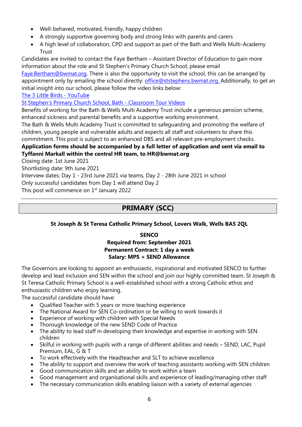- Well-behaved, motivated, friendly, happy children
- A strongly supportive governing body and strong links with parents and carers
- A high level of collaboration, CPD and support as part of the Bath and Wells Multi-Academy **Trust**

Candidates are invited to contact the Faye Bertham – Assistant Director of Education to gain more information about the role and St Stephen's Primary Church School; please email

[Faye.Bertham@bwmat.org.](mailto:Faye.Bertham@bwmat.org) There is also the opportunity to visit the school, this can be arranged by appointment only by emailing the school directly: [office@ststephens.bwmat.org.](mailto:office@ststephens.bwmat.org) Additionally, to get an initial insight into our school, please follow the video links below:

[The 3 Little Birds -](https://www.youtube.com/watch?v=TW1GFOIBOrM) YouTube

[St Stephen's Primary Church School, Bath -](https://www.st-stephens.bathnes.sch.uk/summer-term-2020/classroom-tours) Classroom Tour Videos

Benefits of working for the Bath & Wells Multi Academy Trust include a generous pension scheme, enhanced sickness and parental benefits and a supportive working environment.

The Bath & Wells Multi Academy Trust is committed to safeguarding and promoting the welfare of children, young people and vulnerable adults and expects all staff and volunteers to share this commitment. This post is subject to an enhanced DBS and all relevant pre-employment checks.

#### **Application forms should be accompanied by a full letter of application and sent via email to Tyffanni Markall within the central HR team, to HR@bwmat.org**

Closing date: 1st June 2021

Shortlisting date: 9th June 2021

Interview dates: Day 1 - 23rd June 2021 via teams, Day 2 - 28th June 2021 in school

Only successful candidates from Day 1 will attend Day 2

This post will commence on 1<sup>st</sup> January 2022

## **PRIMARY (SCC)**

#### **St Joseph & St Teresa Catholic Primary School, Lovers Walk, Wells BA5 2QL**

#### **SENCO Required from: September 2021 Permanent Contract: 1 day a week Salary: MPS + SEND Allowance**

The Governors are looking to appoint an enthusiastic, inspirational and motivated SENCO to further develop and lead inclusion and SEN within the school and join our highly committed team. St Joseph & St Teresa Catholic Primary School is a well-established school with a strong Catholic ethos and enthusiastic children who enjoy learning.

The successful candidate should have:

- Qualified Teacher with 5 years or more teaching experience
- The National Award for SEN Co-ordination or be willing to work towards it
- Experience of working with children with Special Needs
- Thorough knowledge of the new SEND Code of Practice
- The ability to lead staff in developing their knowledge and expertise in working with SEN children
- Skilful in working with pupils with a range of different abilities and needs SEND, LAC, Pupil Premium, EAL, G & T
- To work effectively with the Headteacher and SLT to achieve excellence
- The ability to support and overview the work of teaching assistants working with SEN children
- Good communication skills and an ability to work within a team
- Good management and organisational skills and experience of leading/managing other staff
- The necessary communication skills enabling liaison with a variety of external agencies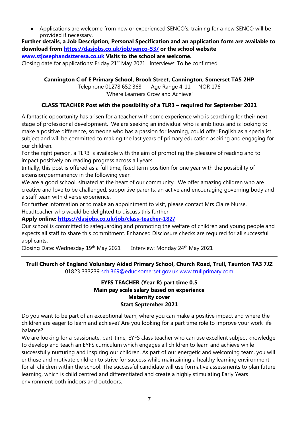• Applications are welcome from new or experienced SENCO's; training for a new SENCO will be provided if necessary.

**Further details, a Job Description, Personal Specification and an application form are available to download from<https://dasjobs.co.uk/job/senco-53/> or the school website [www.stjosephandstteresa.co.uk](http://www.stjosephandstteresa.co.uk/) Visits to the school are welcome.** Closing date for applications: Friday 21st May 2021. Interviews: To be confirmed

**Cannington C of E Primary School, Brook Street, Cannington, Somerset TA5 2HP** Telephone 01278 652 368 Age Range 4-11 NOR 176 'Where Learners Grow and Achieve'

#### **CLASS TEACHER Post with the possibility of a TLR3 – required for September 2021**

A fantastic opportunity has arisen for a teacher with some experience who is searching for their next stage of professional development. We are seeking an individual who is ambitious and is looking to make a positive difference, someone who has a passion for learning, could offer English as a specialist subject and will be committed to making the last years of primary education aspiring and engaging for our children.

For the right person, a TLR3 is available with the aim of promoting the pleasure of reading and to impact positively on reading progress across all years.

Initially, this post is offered as a full time, fixed term position for one year with the possibility of extension/permanency in the following year.

We are a good school, situated at the heart of our community. We offer amazing children who are creative and love to be challenged, supportive parents, an active and encouraging governing body and a staff team with diverse experience.

For further information or to make an appointment to visit, please contact Mrs Claire Nurse, Headteacher who would be delighted to discuss this further.

#### **Apply online:<https://dasjobs.co.uk/job/class-teacher-182/>**

Our school is committed to safeguarding and promoting the welfare of children and young people and expects all staff to share this commitment. Enhanced Disclosure checks are required for all successful applicants.

Closing Date: Wednesday 19<sup>th</sup> May 2021 Interview: Monday 24<sup>th</sup> May 2021

#### **Trull Church of England Voluntary Aided Primary School, Church Road, Trull, Taunton TA3 7JZ** 01823 333239 [sch.369@educ.somerset.gov.uk](mailto:sch.369@educ.somerset.gov.uk) [www.trullprimary.com](http://www.trullprimary.com/)

#### **EYFS TEACHER (Year R) part time 0.5 Main pay scale salary based on experience Maternity cover Start September 2021**

Do you want to be part of an exceptional team, where you can make a positive impact and where the children are eager to learn and achieve? Are you looking for a part time role to improve your work life balance?

We are looking for a passionate, part-time, EYFS class teacher who can use excellent subject knowledge to develop and teach an EYFS curriculum which engages all children to learn and achieve while successfully nurturing and inspiring our children. As part of our energetic and welcoming team, you will enthuse and motivate children to strive for success while maintaining a healthy learning environment for all children within the school. The successful candidate will use formative assessments to plan future learning, which is child centred and differentiated and create a highly stimulating Early Years environment both indoors and outdoors.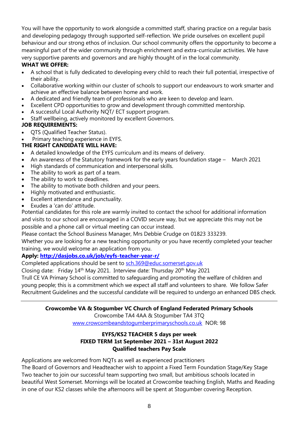You will have the opportunity to work alongside a committed staff, sharing practice on a regular basis and developing pedagogy through supported self-reflection. We pride ourselves on excellent pupil behaviour and our strong ethos of inclusion. Our school community offers the opportunity to become a meaningful part of the wider community through enrichment and extra-curricular activities. We have very supportive parents and governors and are highly thought of in the local community.

#### **WHAT WE OFFER:**

- A school that is fully dedicated to developing every child to reach their full potential, irrespective of their ability.
- Collaborative working within our cluster of schools to support our endeavours to work smarter and achieve an effective balance between home and work.
- A dedicated and friendly team of professionals who are keen to develop and learn.
- Excellent CPD opportunities to grow and development through committed mentorship.
- A successful Local Authority NQT/ ECT support program.
- Staff wellbeing, actively monitored by excellent Governors.

#### **JOB REQUIREMENTS:**

- QTS (Qualified Teacher Status).
- Primary teaching experience in EYFS.

#### **THE RIGHT CANDIDATE WILL HAVE:**

- A detailed knowledge of the EYFS curriculum and its means of delivery.
- An awareness of the Statutory framework for the early years foundation stage March 2021
- High standards of communication and interpersonal skills.
- The ability to work as part of a team.
- The ability to work to deadlines.
- The ability to motivate both children and your peers.
- Highly motivated and enthusiastic.
- Excellent attendance and punctuality.
- Exudes a 'can do' attitude.

Potential candidates for this role are warmly invited to contact the school for additional information and visits to our school are encouraged in a COVID secure way, but we appreciate this may not be possible and a phone call or virtual meeting can occur instead.

Please contact the School Business Manager, Mrs Debbie Crudge on 01823 333239.

Whether you are looking for a new teaching opportunity or you have recently completed your teacher training, we would welcome an application from you.

#### **Apply: [http://dasjobs.co.uk/job/eyfs-teacher-year-r/](https://dasjobs.co.uk/?post_type=job_listing&p=22708&preview=true)**

Completed applications should be sent to [sch.369@educ.somerset.gov.uk](mailto:sch.369@educ.somerset.gov.uk)

Closing date: Friday 14<sup>th</sup> May 2021. Interview date: Thursday 20<sup>th</sup> May 2021

Trull CE VA Primary School is committed to safeguarding and promoting the welfare of children and young people; this is a commitment which we expect all staff and volunteers to share. We follow Safer Recruitment Guidelines and the successful candidate will be required to undergo an enhanced DBS check.

#### **Crowcombe VA & Stogumber VC Church of England Federated Primary Schools**

Crowcombe TA4 4AA & Stogumber TA4 3TQ

[www.crowcombeandstogumberprimaryschools.co.uk](http://www.crowcombeandstogumberprimaryschools.co.uk/) NOR: 98

#### **EYFS/KS2 TEACHER 5 days per week FIXED TERM 1st September 2021 – 31st August 2022 Qualified teachers Pay Scale**

Applications are welcomed from NQTs as well as experienced practitioners

The Board of Governors and Headteacher wish to appoint a Fixed Term Foundation Stage/Key Stage Two teacher to join our successful team supporting two small, but ambitious schools located in beautiful West Somerset. Mornings will be located at Crowcombe teaching English, Maths and Reading in one of our KS2 classes while the afternoons will be spent at Stogumber covering Reception.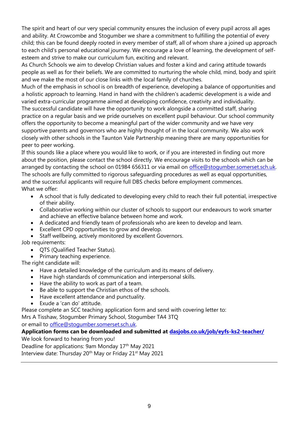The spirit and heart of our very special community ensures the inclusion of every pupil across all ages and ability. At Crowcombe and Stogumber we share a commitment to fulfilling the potential of every child; this can be found deeply rooted in every member of staff, all of whom share a joined up approach to each child's personal educational journey. We encourage a love of learning, the development of selfesteem and strive to make our curriculum fun, exciting and relevant.

As Church Schools we aim to develop Christian values and foster a kind and caring attitude towards people as well as for their beliefs. We are committed to nurturing the whole child, mind, body and spirit and we make the most of our close links with the local family of churches.

Much of the emphasis in school is on breadth of experience, developing a balance of opportunities and a holistic approach to learning. Hand in hand with the children's academic development is a wide and varied extra-curricular programme aimed at developing confidence, creativity and individuality. The successful candidate will have the opportunity to work alongside a committed staff, sharing practice on a regular basis and we pride ourselves on excellent pupil behaviour. Our school community offers the opportunity to become a meaningful part of the wider community and we have very supportive parents and governors who are highly thought of in the local community. We also work closely with other schools in the Taunton Vale Partnership meaning there are many opportunities for peer to peer working.

If this sounds like a place where you would like to work, or if you are interested in finding out more about the position, please contact the school directly. We encourage visits to the schools which can be arranged by contacting the school on 01984 656311 or via email on [office@stogumber.somerset.sch.uk.](mailto:office@stogumber.somerset.sch.uk) The schools are fully committed to rigorous safeguarding procedures as well as equal opportunities, and the successful applicants will require full DBS checks before employment commences. What we offer:

- A school that is fully dedicated to developing every child to reach their full potential, irrespective of their ability.
- Collaborative working within our cluster of schools to support our endeavours to work smarter and achieve an effective balance between home and work.
- A dedicated and friendly team of professionals who are keen to develop and learn.
- Excellent CPD opportunities to grow and develop.
- Staff wellbeing, actively monitored by excellent Governors.

Job requirements:

- QTS (Qualified Teacher Status).
- Primary teaching experience.

The right candidate will:

- Have a detailed knowledge of the curriculum and its means of delivery.
- Have high standards of communication and interpersonal skills.
- Have the ability to work as part of a team.
- Be able to support the Christian ethos of the schools.
- Have excellent attendance and punctuality.
- Exude a 'can do' attitude.

Please complete an SCC teaching application form and send with covering letter to: Mrs A Tisshaw, Stogumber Primary School, Stogumber TA4 3TQ

or email to [office@stogumber.somerset.sch.uk.](mailto:office@stogumber.somerset.sch.uk)

#### **Application forms can be downloaded and submitted at [dasjobs.co.uk/job/eyfs-ks2-teacher/](http://dasjobs.co.uk/job/eyfs-ks2-teacher/)**

We look forward to hearing from you!

Deadline for applications: 9am Monday 17<sup>th</sup> May 2021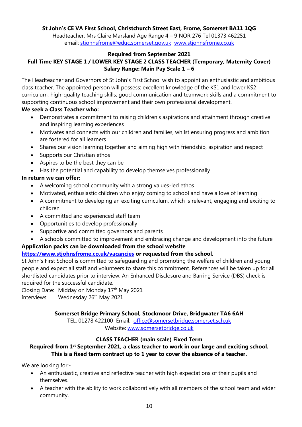#### **St John's CE VA First School, Christchurch Street East, Frome, Somerset BA11 1QG**

Headteacher: Mrs Claire Marsland Age Range 4 – 9 NOR 276 Tel 01373 462251 email: [stjohnsfrome@educ.somerset.gov.uk](mailto:stjohnsfrome@educ.somerset.gov.uk) [www.stjohnsfrome.co.uk](http://www.stjohnsfrome.co.uk/)

#### **Required from September 2021 Full Time KEY STAGE 1 / LOWER KEY STAGE 2 CLASS TEACHER (Temporary, Maternity Cover) Salary Range: Main Pay Scale 1 – 6**

The Headteacher and Governors of St John's First School wish to appoint an enthusiastic and ambitious class teacher. The appointed person will possess: excellent knowledge of the KS1 and lower KS2 curriculum; high-quality teaching skills; good communication and teamwork skills and a commitment to supporting continuous school improvement and their own professional development.

#### **We seek a Class Teacher who:**

- Demonstrates a commitment to raising children's aspirations and attainment through creative and inspiring learning experiences
- Motivates and connects with our children and families, whilst ensuring progress and ambition are fostered for all learners
- Shares our vision learning together and aiming high with friendship, aspiration and respect
- Supports our Christian ethos
- Aspires to be the best they can be
- Has the potential and capability to develop themselves professionally

#### **In return we can offer:**

- A welcoming school community with a strong values-led ethos
- Motivated, enthusiastic children who enjoy coming to school and have a love of learning
- A commitment to developing an exciting curriculum, which is relevant, engaging and exciting to children
- A committed and experienced staff team
- Opportunities to develop professionally
- Supportive and committed governors and parents
- A schools committed to improvement and embracing change and development into the future

#### **Application packs can be downloaded from the school website**

#### **<https://www.stjohnsfrome.co.uk/vacancies> or requested from the school.**

St John's First School is committed to safeguarding and promoting the welfare of children and young people and expect all staff and volunteers to share this commitment. References will be taken up for all shortlisted candidates prior to interview. An Enhanced Disclosure and Barring Service (DBS) check is required for the successful candidate.

Closing Date: Midday on Monday 17th May 2021

Interviews: Wednesday 26<sup>th</sup> May 2021

#### **Somerset Bridge Primary School, Stockmoor Drive, Bridgwater TA6 6AH**

TEL: 01278 422100 Email: [office@somersetbridge.somerset.sch.uk](mailto:office@somersetbridge.somerset.sch.uk)  Website: [www.somersetbridge.co.uk](http://www.somersetbridge.co.uk/)

#### **CLASS TEACHER (main scale) Fixed Term**

**Required from 1st September 2021, a class teacher to work in our large and exciting school. This is a fixed term contract up to 1 year to cover the absence of a teacher.**

We are looking for:-

- An enthusiastic, creative and reflective teacher with high expectations of their pupils and themselves.
- A teacher with the ability to work collaboratively with all members of the school team and wider community.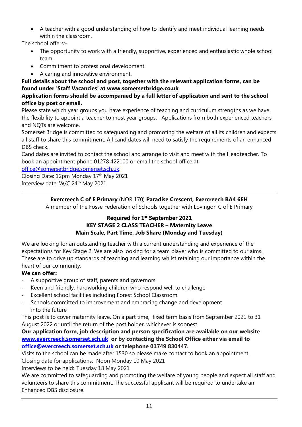• A teacher with a good understanding of how to identify and meet individual learning needs within the classroom.

The school offers:-

- The opportunity to work with a friendly, supportive, experienced and enthusiastic whole school team.
- Commitment to professional development.
- A caring and innovative environment.

**Full details about the school and post, together with the relevant application forms, can be found under 'Staff Vacancies' at [www.somersetbridge.co.uk](http://www.somersetbridge.co.uk/)**

#### **Application forms should be accompanied by a full letter of application and sent to the school office by post or email.**

Please state which year groups you have experience of teaching and curriculum strengths as we have the flexibility to appoint a teacher to most year groups. Applications from both experienced teachers and NQTs are welcome.

Somerset Bridge is committed to safeguarding and promoting the welfare of all its children and expects all staff to share this commitment. All candidates will need to satisfy the requirements of an enhanced DBS check.

Candidates are invited to contact the school and arrange to visit and meet with the Headteacher. To book an appointment phone 01278 422100 or email the school office at

[office@somersetbridge.somerset.sch.uk.](mailto:office@somersetbridge.somerset.sch.uk)

Closing Date: 12pm Monday 17th May 2021 Interview date: W/C 24<sup>th</sup> May 2021

#### **Evercreech C of E Primary** (NOR 170) **Paradise Crescent, Evercreech BA4 6EH**

A member of the Fosse Federation of Schools together with Lovingon C of E Primary

#### **Required for 1st September 2021 KEY STAGE 2 CLASS TEACHER – Maternity Leave Main Scale, Part Time, Job Share (Monday and Tuesday)**

We are looking for an outstanding teacher with a current understanding and experience of the expectations for Key Stage 2. We are also looking for a team player who is committed to our aims. These are to drive up standards of teaching and learning whilst retaining our importance within the heart of our community.

#### **We can offer:**

- A supportive group of staff, parents and governors
- Keen and friendly, hardworking children who respond well to challenge
- Excellent school facilities including Forest School Classroom
- Schools committed to improvement and embracing change and development into the future

This post is to cover maternity leave. On a part time, fixed term basis from September 2021 to 31 August 2022 or until the return of the post holder, whichever is soonest.

#### **Our application form, job description and person specification are available on our website [www.evercreech.somerset.sch.uk](http://www.evercreech.somerset.sch.uk/) or by contacting the School Office either via email to [office@evercreech.somerset.sch.uk](mailto:office@evercreech.somerset.sch.uk) or telephone 01749 830447.**

Visits to the school can be made after 1530 so please make contact to book an appointment.

Closing date for applications: Noon Monday 10 May 2021

Interviews to be held: Tuesday 18 May 2021

We are committed to safeguarding and promoting the welfare of young people and expect all staff and volunteers to share this commitment. The successful applicant will be required to undertake an Enhanced DBS disclosure.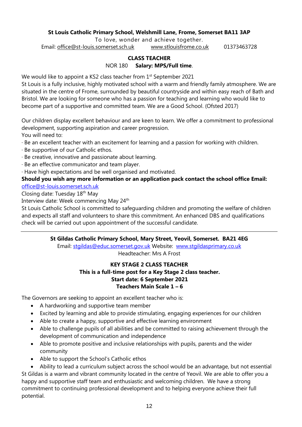#### **St Louis Catholic Primary School, Welshmill Lane, Frome, Somerset BA11 3AP**

To love, wonder and achieve together.

Email: [office@st-louis.somerset.sch.uk](mailto:office@st-louis.somerset.sch.uk) [www.stlouisfrome.co.uk](http://www.stlouisfrome.co.uk/) 01373463728

## **CLASS TEACHER**

NOR 180 **Salary: MPS/Full time**.

We would like to appoint a KS2 class teacher from 1<sup>st</sup> September 2021

St Louis is a fully inclusive, highly motivated school with a warm and friendly family atmosphere. We are situated in the centre of Frome, surrounded by beautiful countryside and within easy reach of Bath and Bristol. We are looking for someone who has a passion for teaching and learning who would like to become part of a supportive and committed team. We are a Good School. (Ofsted 2017)

Our children display excellent behaviour and are keen to learn. We offer a commitment to professional development, supporting aspiration and career progression. You will need to:

· Be an excellent teacher with an excitement for learning and a passion for working with children.

- · Be supportive of our Catholic ethos.
- · Be creative, innovative and passionate about learning.
- · Be an effective communicator and team player.

· Have high expectations and be well organised and motivated.

#### **Should you wish any more information or an application pack contact the school office Email:**

[office@st-louis.somerset.sch.uk](mailto:office@st-louis.somerset.sch.uk) 

Closing date: Tuesday 18th May

Interview date: Week commencing May 24<sup>th</sup>

St Louis Catholic School is committed to safeguarding children and promoting the welfare of children and expects all staff and volunteers to share this commitment. An enhanced DBS and qualifications check will be carried out upon appointment of the successful candidate.

#### **St Gildas Catholic Primary School, Mary Street, Yeovil, Somerset. BA21 4EG**

Email: [stgildas@educ.somerset.gov.uk](mailto:stgildas@educ.somerset.gov.uk) Website: [www.stg](http://www.stgildas.somerset.sch.uk/)ildasprimary.co.uk Headteacher: Mrs A Frost

#### **KEY STAGE 2 CLASS TEACHER**

#### **This is a full-time post for a Key Stage 2 class teacher. Start date: 6 September 2021 Teachers Main Scale 1 – 6**

The Governors are seeking to appoint an excellent teacher who is:

- A hardworking and supportive team member
- Excited by learning and able to provide stimulating, engaging experiences for our children
- Able to create a happy, supportive and effective learning environment
- Able to challenge pupils of all abilities and be committed to raising achievement through the development of communication and independence
- Able to promote positive and inclusive relationships with pupils, parents and the wider community
- Able to support the School's Catholic ethos

• Ability to lead a curriculum subject across the school would be an advantage, but not essential St Gildas is a warm and vibrant community located in the centre of Yeovil. We are able to offer you a happy and supportive staff team and enthusiastic and welcoming children. We have a strong commitment to continuing professional development and to helping everyone achieve their full potential.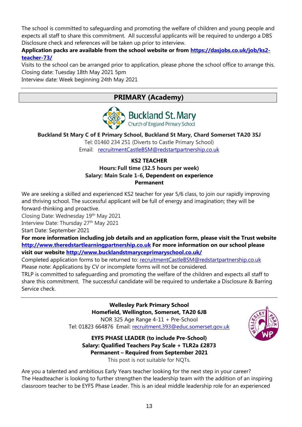The school is committed to safeguarding and promoting the welfare of children and young people and expects all staff to share this commitment. All successful applicants will be required to undergo a DBS Disclosure check and references will be taken up prior to interview.

**Application packs are available from the school website or from [https://dasjobs.co.uk/job/ks2](https://dasjobs.co.uk/job/ks2-teacher-73/) [teacher-73/](https://dasjobs.co.uk/job/ks2-teacher-73/)**

Visits to the school can be arranged prior to application, please phone the school office to arrange this. Closing date: Tuesday 18th May 2021 5pm

Interview date: Week beginning 24th May 2021

## **PRIMARY (Academy)**



**Buckland St Mary C of E Primary School, Buckland St Mary, Chard Somerset TA20 3SJ**

Tel: 01460 234 251 (Diverts to Castle Primary School) Email: [recruitmentCastleBSM@redstartpartnership.co.uk](mailto:recruitmentCastleBSM@redstartpartnership.co.uk)

#### **KS2 TEACHER Hours: Full time (32.5 hours per week) Salary: Main Scale 1-6, Dependent on experience Permanent**

We are seeking a skilled and experienced KS2 teacher for year 5/6 class, to join our rapidly improving and thriving school. The successful applicant will be full of energy and imagination; they will be forward-thinking and proactive.

Closing Date: Wednesday 19<sup>th</sup> May 2021

Interview Date: Thursday 27<sup>th</sup> May 2021

Start Date: September 2021

**For more information including job details and an application form, please visit the Trust website [http://www.theredstartlearningpartnership.co.uk](http://www.theredstartlearningpartnership.co.uk/) For more information on our school please visit our website<http://www.bucklandstmaryceprimaryschool.co.uk/>**

Completed application forms to be returned to: [recruitmentCastleBSM@redstartpartnership.co.uk](mailto:recruitmentCastleBSM@redstartpartnership.co.uk) Please note: Applications by CV or incomplete forms will not be considered.

TRLP is committed to safeguarding and promoting the welfare of the children and expects all staff to share this commitment. The successful candidate will be required to undertake a Disclosure & Barring Service check.

> **Wellesley Park Primary School Homefield, Wellington, Somerset, TA20 6JB** NOR 325 Age Range 4-11 + Pre-School

Tel: 01823 664876 Email: [recruitment.393@educ.somerset.gov.uk](mailto:recruitment.393@educ.somerset.gov.uk)



**EYFS PHASE LEADER (to include Pre-School) Salary: Qualified Teachers Pay Scale + TLR2a £2873 Permanent – Required from September 2021** This post is not suitable for NQTs.

Are you a talented and ambitious Early Years teacher looking for the next step in your career? The Headteacher is looking to further strengthen the leadership team with the addition of an inspiring classroom teacher to be EYFS Phase Leader. This is an ideal middle leadership role for an experienced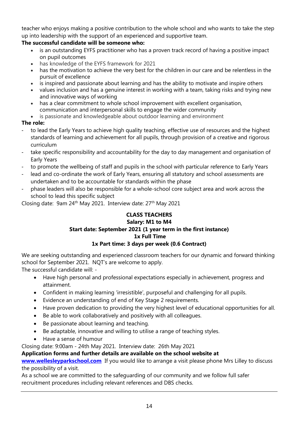teacher who enjoys making a positive contribution to the whole school and who wants to take the step up into leadership with the support of an experienced and supportive team.

#### **The successful candidate will be someone who:**

- is an outstanding EYFS practitioner who has a proven track record of having a positive impact on pupil outcomes
- has knowledge of the EYFS framework for 2021
- has the motivation to achieve the very best for the children in our care and be relentless in the pursuit of excellence
- is inspired and passionate about learning and has the ability to motivate and inspire others
- values inclusion and has a genuine interest in working with a team, taking risks and trying new and innovative ways of working
- has a clear commitment to whole school improvement with excellent organisation, communication and interpersonal skills to engage the wider community
- is passionate and knowledgeable about outdoor learning and environment

#### **The role:**

- to lead the Early Years to achieve high quality teaching, effective use of resources and the highest standards of learning and achievement for all pupils, through provision of a creative and rigorous curriculum
- take specific responsibility and accountability for the day to day management and organisation of Early Years
- to promote the wellbeing of staff and pupils in the school with particular reference to Early Years
- lead and co-ordinate the work of Early Years, ensuring all statutory and school assessments are undertaken and to be accountable for standards within the phase
- phase leaders will also be responsible for a whole-school core subject area and work across the school to lead this specific subject

Closing date: 9am 24<sup>th</sup> May 2021. Interview date: 27<sup>th</sup> May 2021

#### **CLASS TEACHERS Salary: M1 to M4 Start date: September 2021 (1 year term in the first instance) 1x Full Time 1x Part time: 3 days per week (0.6 Contract)**

We are seeking outstanding and experienced classroom teachers for our dynamic and forward thinking school for September 2021. NQT's are welcome to apply.

The successful candidate will: -

- Have high personal and professional expectations especially in achievement, progress and attainment.
- Confident in making learning 'irresistible', purposeful and challenging for all pupils.
- Evidence an understanding of end of Key Stage 2 requirements.
- Have proven dedication to providing the very highest level of educational opportunities for all.
- Be able to work collaboratively and positively with all colleagues.
- Be passionate about learning and teaching.
- Be adaptable, innovative and willing to utilise a range of teaching styles.
- Have a sense of humour

Closing date: 9:00am - 24th May 2021. Interview date: 26th May 2021

#### **Application forms and further details are available on the school website at**

**[www.wellesleyparkschool.com](http://www.wellesleyparkschool.com/)** If you would like to arrange a visit please phone Mrs Lilley to discuss the possibility of a visit.

As a school we are committed to the safeguarding of our community and we follow full safer recruitment procedures including relevant references and DBS checks.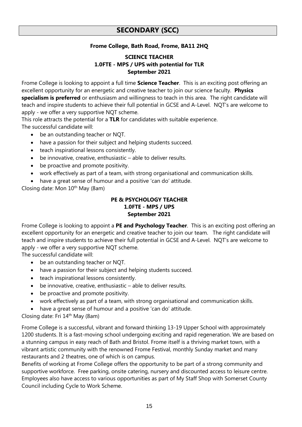### **SECONDARY (SCC)**

#### **Frome College, Bath Road, Frome, BA11 2HQ**

#### **SCIENCE TEACHER 1.0FTE - MPS / UPS with potential for TLR September 2021**

Frome College is looking to appoint a full time **Science Teacher**. This is an exciting post offering an excellent opportunity for an energetic and creative teacher to join our science faculty. **Physics specialism is preferred** or enthusiasm and willingness to teach in this area. The right candidate will teach and inspire students to achieve their full potential in GCSE and A-Level. NQT's are welcome to apply - we offer a very supportive NQT scheme.

This role attracts the potential for a **TLR** for candidates with suitable experience. The successful candidate will:

- be an outstanding teacher or NQT.
- have a passion for their subject and helping students succeed.
- teach inspirational lessons consistently.
- be innovative, creative, enthusiastic able to deliver results.
- be proactive and promote positivity.
- work effectively as part of a team, with strong organisational and communication skills.
- have a great sense of humour and a positive 'can do' attitude.

Closing date: Mon  $10^{th}$  May (8am)

#### **PE & PSYCHOLOGY TEACHER 1.0FTE - MPS / UPS September 2021**

Frome College is looking to appoint a **PE and Psychology Teacher**. This is an exciting post offering an excellent opportunity for an energetic and creative teacher to join our team. The right candidate will teach and inspire students to achieve their full potential in GCSE and A-Level. NQT's are welcome to apply - we offer a very supportive NQT scheme.

The successful candidate will:

- be an outstanding teacher or NQT.
- have a passion for their subject and helping students succeed.
- teach inspirational lessons consistently.
- be innovative, creative, enthusiastic able to deliver results.
- be proactive and promote positivity.
- work effectively as part of a team, with strong organisational and communication skills.
- have a great sense of humour and a positive 'can do' attitude.

Closing date: Fri 14th May (8am)

Frome College is a successful, vibrant and forward thinking 13-19 Upper School with approximately 1200 students. It is a fast-moving school undergoing exciting and rapid regeneration. We are based on a stunning campus in easy reach of Bath and Bristol. Frome itself is a thriving market town, with a vibrant artistic community with the renowned Frome Festival, monthly Sunday market and many restaurants and 2 theatres, one of which is on campus.

Benefits of working at Frome College offers the opportunity to be part of a strong community and supportive workforce. Free parking, onsite catering, nursery and discounted access to leisure centre. Employees also have access to various opportunities as part of My Staff Shop with Somerset County Council including Cycle to Work Scheme.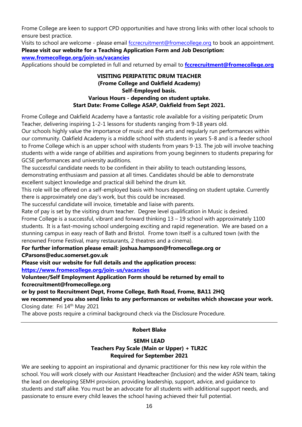Frome College are keen to support CPD opportunities and have strong links with other local schools to ensure best practice.

Visits to school are welcome - please email [fccrecruitment@fromecollege.org](mailto:fccrecruitment@fromecollege.org) to book an appointment. **Please visit our website for a Teaching Application Form and Job Description: [www.fromecollege.org/join-us/vacancies](http://www.fromecollege.org/join-us/vacancies)**

Applications should be completed in full and returned by email to **[fccrecruitment@fromecollege.org](mailto:fccrecruitment@fromecollege.org)** 

#### **VISITING PERIPATETIC DRUM TEACHER (Frome College and Oakfield Academy) Self-Employed basis. Various Hours - depending on student uptake. Start Date: Frome College ASAP, Oakfield from Sept 2021.**

Frome College and Oakfield Academy have a fantastic role available for a visiting peripatetic Drum Teacher, delivering inspiring 1-2-1 lessons for students ranging from 9-18 years old.

Our schools highly value the importance of music and the arts and regularly run performances within our community. Oakfield Academy is a middle school with students in years 5-8 and is a feeder school to Frome College which is an upper school with students from years 9-13. The job will involve teaching students with a wide range of abilities and aspirations from young beginners to students preparing for GCSE performances and university auditions.

The successful candidate needs to be confident in their ability to teach outstanding lessons, demonstrating enthusiasm and passion at all times. Candidates should be able to demonstrate excellent subject knowledge and practical skill behind the drum kit.

This role will be offered on a self-employed basis with hours depending on student uptake. Currently there is approximately one day's work, but this could be increased.

The successful candidate will invoice, timetable and liaise with parents.

Rate of pay is set by the visiting drum teacher. Degree level qualification in Music is desired.

Frome College is a successful, vibrant and forward thinking 13 – 19 school with approximately 1100 students. It is a fast-moving school undergoing exciting and rapid regeneration. We are based on a stunning campus in easy reach of Bath and Bristol. Frome town itself is a cultured town (with the renowned Frome Festival, many restaurants, 2 theatres and a cinema).

**For further information please email: [joshua.hampson@fromecollege.org](mailto:joshua.hampson@fromecollege.org) or** 

**[CParsons@educ.somerset.gov.uk](mailto:CParsons@educ.somerset.gov.uk)**

**Please visit our website for full details and the application process:**

**<https://www.fromecollege.org/join-us/vacancies>**

**Volunteer/Self Employment Application Form should be returned by email to [fccrecruitment@fromecollege.org](mailto:fccrecruitment@fromecollege.org)**

**or by post to Recruitment Dept, Frome College, Bath Road, Frome, BA11 2HQ**

**we recommend you also send links to any performances or websites which showcase your work.** Closing date: Fri 14<sup>th</sup> May 2021

The above posts require a criminal background check via the Disclosure Procedure.

#### **Robert Blake**

#### **SEMH LEAD Teachers Pay Scale (Main or Upper) + TLR2C Required for September 2021**

We are seeking to appoint an inspirational and dynamic practitioner for this new key role within the school. You will work closely with our Assistant Headteacher (Inclusion) and the wider ASN team, taking the lead on developing SEMH provision, providing leadership, support, advice, and guidance to students and staff alike. You must be an advocate for all students with additional support needs, and passionate to ensure every child leaves the school having achieved their full potential.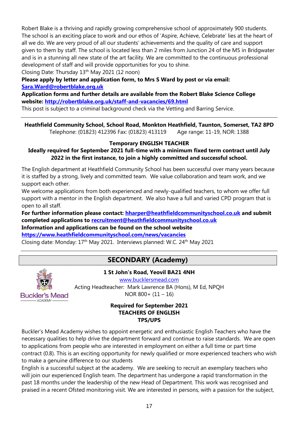Robert Blake is a thriving and rapidly growing comprehensive school of approximately 900 students. The school is an exciting place to work and our ethos of 'Aspire, Achieve, Celebrate' lies at the heart of all we do. We are very proud of all our students' achievements and the quality of care and support given to them by staff. The school is located less than 2 miles from Junction 24 of the M5 in Bridgwater and is in a stunning all new state of the art facility. We are committed to the continuous professional development of staff and will provide opportunities for you to shine.

Closing Date: Thursday 13<sup>th</sup> May 2021 (12 noon)

**Please apply by letter and application form, to Mrs S Ward by post or via email: [Sara.Ward@robertblake.org.uk](mailto:Sara.Ward@robertblake.org.uk)**

**Application forms and further details are available from the Robert Blake Science College website:<http://robertblake.org.uk/staff-and-vacancies/69.html>**

This post is subject to a criminal background check via the Vetting and Barring Service.

**Heathfield Community School, School Road, Monkton Heathfield, Taunton, Somerset, TA2 8PD** Telephone: (01823) 412396 Fax: (01823) 413119 Age range: 11-19, NOR: 1388

#### **Temporary ENGLISH TEACHER**

#### **Ideally required for September 2021 full-time with a minimum fixed term contract until July 2022 in the first instance, to join a highly committed and successful school.**

The English department at Heathfield Community School has been successful over many years because it is staffed by a strong, lively and committed team. We value collaboration and team work, and we support each other.

We welcome applications from both experienced and newly-qualified teachers, to whom we offer full support with a mentor in the English department. We also have a full and varied CPD program that is open to all staff.

**For further information please contact: [hharper@heathfieldcommunityschool.co.uk](mailto:hharper@heathfieldcommunityschool.co.uk) and submit completed applications to [recruitment@heathfieldcommunityschool.co.uk](mailto:recruitment@heathfieldcommunityschool.co.uk)** 

**Information and applications can be found on the school website <https://www.heathfieldcommunityschool.com/news/vacancies>**

Closing date: Monday: 17<sup>th</sup> May 2021. Interviews planned: W.C. 24<sup>th</sup> May 2021

## **SECONDARY (Academy)**



**1 St John's Road, Yeovil BA21 4NH**

[www.bucklersmead.com](http://www.bucklersmead.com/)

Acting Headteacher: Mark Lawrence BA (Hons), M Ed, NPQH NOR  $800 + (11 - 16)$ 

#### **Required for September 2021 TEACHERS OF ENGLISH TPS/UPS**

Buckler's Mead Academy wishes to appoint energetic and enthusiastic English Teachers who have the necessary qualities to help drive the department forward and continue to raise standards. We are open to applications from people who are interested in employment on either a full time or part time contract (0.8). This is an exciting opportunity for newly qualified or more experienced teachers who wish to make a genuine difference to our students

English is a successful subject at the academy. We are seeking to recruit an exemplary teachers who will join our experienced English team. The department has undergone a rapid transformation in the past 18 months under the leadership of the new Head of Department. This work was recognised and praised in a recent Ofsted monitoring visit. We are interested in persons, with a passion for the subject,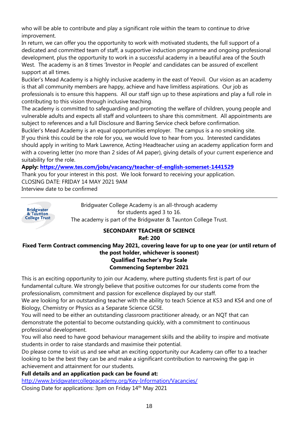who will be able to contribute and play a significant role within the team to continue to drive improvement.

In return, we can offer you the opportunity to work with motivated students, the full support of a dedicated and committed team of staff, a supportive induction programme and ongoing professional development, plus the opportunity to work in a successful academy in a beautiful area of the South West. The academy is an 8 times 'Investor in People' and candidates can be assured of excellent support at all times.

Buckler's Mead Academy is a highly inclusive academy in the east of Yeovil. Our vision as an academy is that all community members are happy, achieve and have limitless aspirations. Our job as professionals is to ensure this happens. All our staff sign up to these aspirations and play a full role in contributing to this vision through inclusive teaching.

The academy is committed to safeguarding and promoting the welfare of children, young people and vulnerable adults and expects all staff and volunteers to share this commitment. All appointments are subject to references and a full Disclosure and Barring Service check before confirmation.

Buckler's Mead Academy is an equal opportunities employer. The campus is a no smoking site. If you think this could be the role for you, we would love to hear from you. Interested candidates should apply in writing to Mark Lawrence, Acting Headteacher using an academy application form and with a covering letter (no more than 2 sides of A4 paper), giving details of your current experience and suitability for the role.

**Apply:<https://www.tes.com/jobs/vacancy/teacher-of-english-somerset-1441529>**

Thank you for your interest in this post. We look forward to receiving your application. CLOSING DATE: FRIDAY 14 MAY 2021 9AM Interview date to be confirmed



## **Ref: 200**

#### **Fixed Term Contract commencing May 2021, covering leave for up to one year (or until return of the post holder, whichever is soonest) Qualified Teacher's Pay Scale Commencing September 2021**

This is an exciting opportunity to join our Academy, where putting students first is part of our fundamental culture. We strongly believe that positive outcomes for our students come from the professionalism, commitment and passion for excellence displayed by our staff.

We are looking for an outstanding teacher with the ability to teach Science at KS3 and KS4 and one of Biology, Chemistry or Physics as a Separate Science GCSE.

You will need to be either an outstanding classroom practitioner already, or an NQT that can demonstrate the potential to become outstanding quickly, with a commitment to continuous professional development.

You will also need to have good behaviour management skills and the ability to inspire and motivate students in order to raise standards and maximise their potential.

Do please come to visit us and see what an exciting opportunity our Academy can offer to a teacher looking to be the best they can be and make a significant contribution to narrowing the gap in achievement and attainment for our students.

**Full details and an application pack can be found at:**

<http://www.bridgwatercollegeacademy.org/Key-Information/Vacancies/>

Closing Date for applications: 3pm on Friday 14th May 2021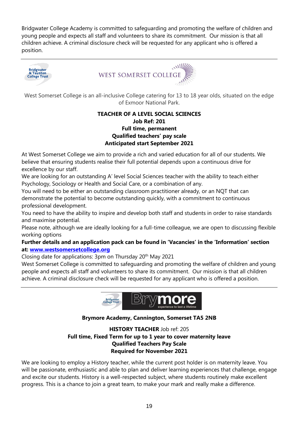Bridgwater College Academy is committed to safeguarding and promoting the welfare of children and young people and expects all staff and volunteers to share its commitment. Our mission is that all children achieve. A criminal disclosure check will be requested for any applicant who is offered a position.





West Somerset College is an all-inclusive College catering for 13 to 18 year olds, situated on the edge of Exmoor National Park.

#### **TEACHER OF A LEVEL SOCIAL SCIENCES Job Ref: 201 Full time, permanent Qualified teachers' pay scale Anticipated start September 2021**

At West Somerset College we aim to provide a rich and varied education for all of our students. We believe that ensuring students realise their full potential depends upon a continuous drive for excellence by our staff.

We are looking for an outstanding A' level Social Sciences teacher with the ability to teach either Psychology, Sociology or Health and Social Care, or a combination of any.

You will need to be either an outstanding classroom practitioner already, or an NQT that can demonstrate the potential to become outstanding quickly, with a commitment to continuous professional development.

You need to have the ability to inspire and develop both staff and students in order to raise standards and maximise potential.

Please note, although we are ideally looking for a full-time colleague, we are open to discussing flexible working options

#### **Further details and an application pack can be found in 'Vacancies' in the 'Information' section at: [www.westsomersetcollege.org](http://www.westsomersetcollege.org/)**

Closing date for applications: 3pm on Thursday 20<sup>th</sup> May 2021

West Somerset College is committed to safeguarding and promoting the welfare of children and young people and expects all staff and volunteers to share its commitment. Our mission is that all children achieve. A criminal disclosure check will be requested for any applicant who is offered a position.



#### **Brymore Academy, Cannington, Somerset TA5 2NB**

#### **HISTORY TEACHER** Job ref: 205 **Full time, Fixed Term for up to 1 year to cover maternity leave Qualified Teachers Pay Scale Required for November 2021**

We are looking to employ a History teacher, while the current post holder is on maternity leave. You will be passionate, enthusiastic and able to plan and deliver learning experiences that challenge, engage and excite our students. History is a well-respected subject, where students routinely make excellent progress. This is a chance to join a great team, to make your mark and really make a difference.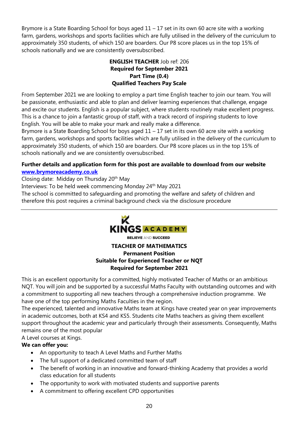Brymore is a State Boarding School for boys aged  $11 - 17$  set in its own 60 acre site with a working farm, gardens, workshops and sports facilities which are fully utilised in the delivery of the curriculum to approximately 350 students, of which 150 are boarders. Our P8 score places us in the top 15% of schools nationally and we are consistently oversubscribed.

#### **ENGLISH TEACHER** Job ref: 206 **Required for September 2021 Part Time (0.4) Qualified Teachers Pay Scale**

From September 2021 we are looking to employ a part time English teacher to join our team. You will be passionate, enthusiastic and able to plan and deliver learning experiences that challenge, engage and excite our students. English is a popular subject, where students routinely make excellent progress. This is a chance to join a fantastic group of staff, with a track record of inspiring students to love English. You will be able to make your mark and really make a difference.

Brymore is a State Boarding School for boys aged  $11 - 17$  set in its own 60 acre site with a working farm, gardens, workshops and sports facilities which are fully utilised in the delivery of the curriculum to approximately 350 students, of which 150 are boarders. Our P8 score places us in the top 15% of schools nationally and we are consistently oversubscribed.

#### **Further details and application form for this post are available to download from our website [www.brymoreacademy.co.uk](http://www.brymoreacademy.co.uk/)**

Closing date: Midday on Thursday 20<sup>th</sup> May

Interviews: To be held week commencing Monday 24<sup>th</sup> May 2021

The school is committed to safeguarding and promoting the welfare and safety of children and

therefore this post requires a criminal background check via the disclosure procedure



**BELIEVE AND SUCCEED** 

#### **TEACHER OF MATHEMATICS Permanent Position Suitable for Experienced Teacher or NQT Required for September 2021**

This is an excellent opportunity for a committed, highly motivated Teacher of Maths or an ambitious NQT. You will join and be supported by a successful Maths Faculty with outstanding outcomes and with a commitment to supporting all new teachers through a comprehensive induction programme. We have one of the top performing Maths Faculties in the region.

The experienced, talented and innovative Maths team at Kings have created year on year improvements in academic outcomes, both at KS4 and KS5. Students cite Maths teachers as giving them excellent support throughout the academic year and particularly through their assessments. Consequently, Maths remains one of the most popular

A Level courses at Kings.

#### **We can offer you:**

- An opportunity to teach A Level Maths and Further Maths
- The full support of a dedicated committed team of staff
- The benefit of working in an innovative and forward-thinking Academy that provides a world class education for all students
- The opportunity to work with motivated students and supportive parents
- A commitment to offering excellent CPD opportunities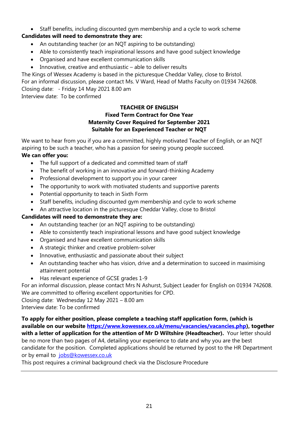#### • Staff benefits, including discounted gym membership and a cycle to work scheme

#### **Candidates will need to demonstrate they are:**

- An outstanding teacher (or an NQT aspiring to be outstanding)
- Able to consistently teach inspirational lessons and have good subject knowledge
- Organised and have excellent communication skills
- Innovative, creative and enthusiastic able to deliver results

The Kings of Wessex Academy is based in the picturesque Cheddar Valley, close to Bristol. For an informal discussion, please contact Ms. V Ward, Head of Maths Faculty on 01934 742608. Closing date: - Friday 14 May 2021 8.00 am Interview date: To be confirmed

#### **TEACHER OF ENGLISH Fixed Term Contract for One Year Maternity Cover Required for September 2021 Suitable for an Experienced Teacher or NQT**

We want to hear from you if you are a committed, highly motivated Teacher of English, or an NQT aspiring to be such a teacher, who has a passion for seeing young people succeed.

#### **We can offer you:**

- The full support of a dedicated and committed team of staff
- The benefit of working in an innovative and forward-thinking Academy
- Professional development to support you in your career
- The opportunity to work with motivated students and supportive parents
- Potential opportunity to teach in Sixth Form
- Staff benefits, including discounted gym membership and cycle to work scheme
- An attractive location in the picturesque Cheddar Valley, close to Bristol

#### **Candidates will need to demonstrate they are:**

- An outstanding teacher (or an NQT aspiring to be outstanding)
- Able to consistently teach inspirational lessons and have good subject knowledge
- Organised and have excellent communication skills
- A strategic thinker and creative problem-solver
- Innovative, enthusiastic and passionate about their subject
- An outstanding teacher who has vision, drive and a determination to succeed in maximising attainment potential
- Has relevant experience of GCSE grades 1-9

For an informal discussion, please contact Mrs N Ashurst, Subject Leader for English on 01934 742608. We are committed to offering excellent opportunities for CPD.

Closing date: Wednesday 12 May 2021 – 8.00 am

Interview date: To be confirmed

**To apply for either position, please complete a teaching staff application form, (which is available on our website [https://www.kowessex.co.uk/menu/vacancies/vacancies.php\)](https://www.kowessex.co.uk/menu/vacancies/vacancies.php), together with a letter of application for the attention of Mr D Wiltshire (Headteacher).** Your letter should be no more than two pages of A4, detailing your experience to date and why you are the best candidate for the position. Completed applications should be returned by post to the HR Department or by email to [jobs@kowessex.co.uk](mailto:jobs@kowessex.co.uk)

This post requires a criminal background check via the Disclosure Procedure